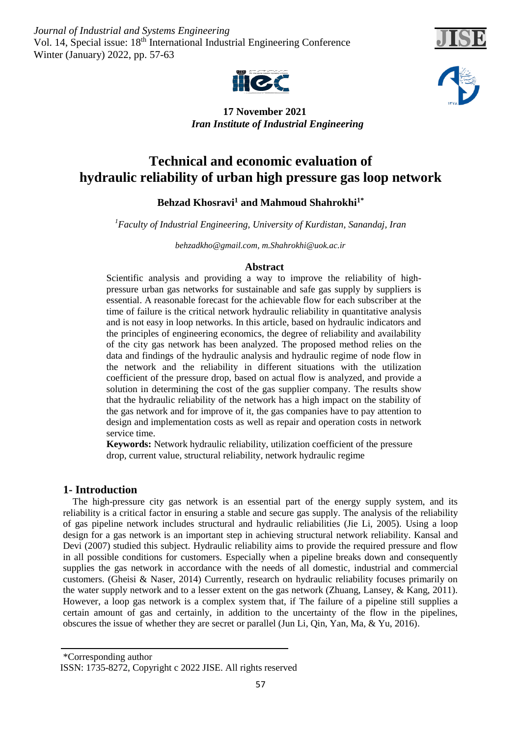*Journal of Industrial and Systems Engineering* Vol. 14, Special issue: 18<sup>th</sup> International Industrial Engineering Conference Winter (January) 2022, pp. 57-63







 **17 November 2021** *Iran Institute of Industrial Engineering* 

# **Technical and economic evaluation of hydraulic reliability of urban high pressure gas loop network**

# Behzad Khosravi<sup>1</sup> and Mahmoud Shahrokhi<sup>1\*</sup>

*Faculty of Industrial Engineering, University of Kurdistan, Sanandaj, Iran <sup>1</sup>*

*[behzadkho@gmail.com,](mailto:behzadkho@gmail.com) [m.Shahrokhi@uok.ac.ir](mailto:m.Shahrokhi@uok.ac.ir)*

# **Abstract**

Scientific analysis and providing a way to improve the reliability of highpressure urban gas networks for sustainable and safe gas supply by suppliers is essential. A reasonable forecast for the achievable flow for each subscriber at the time of failure is the critical network hydraulic reliability in quantitative analysis and is not easy in loop networks. In this article, based on hydraulic indicators and the principles of engineering economics, the degree of reliability and availability of the city gas network has been analyzed. The proposed method relies on the data and findings of the hydraulic analysis and hydraulic regime of node flow in the network and the reliability in different situations with the utilization coefficient of the pressure drop, based on actual flow is analyzed, and provide a solution in determining the cost of the gas supplier company. The results show that the hydraulic reliability of the network has a high impact on the stability of the gas network and for improve of it, the gas companies have to pay attention to design and implementation costs as well as repair and operation costs in network service time.

**Keywords:** Network hydraulic reliability, utilization coefficient of the pressure drop, current value, structural reliability, network hydraulic regime

# **1- Introduction**

 The high-pressure city gas network is an essential part of the energy supply system, and its reliability is a critical factor in ensuring a stable and secure gas supply. The analysis of the reliability of gas pipeline network includes structural and hydraulic reliabilities (Jie Li, 2005). Using a loop design for a gas network is an important step in achieving structural network reliability. Kansal and Devi (2007) studied this subject. Hydraulic reliability aims to provide the required pressure and flow in all possible conditions for customers. Especially when a pipeline breaks down and consequently supplies the gas network in accordance with the needs of all domestic, industrial and commercial customers. (Gheisi & Naser, 2014) Currently, research on hydraulic reliability focuses primarily on the water supply network and to a lesser extent on the gas network (Zhuang, Lansey, & Kang, 2011). However, a loop gas network is a complex system that, if The failure of a pipeline still supplies a certain amount of gas and certainly, in addition to the uncertainty of the flow in the pipelines, obscures the issue of whether they are secret or parallel (Jun Li, Qin, Yan, Ma, & Yu, 2016).

<sup>\*</sup>Corresponding author ISSN: 1735-8272, Copyright c 2022 JISE. All rights reserved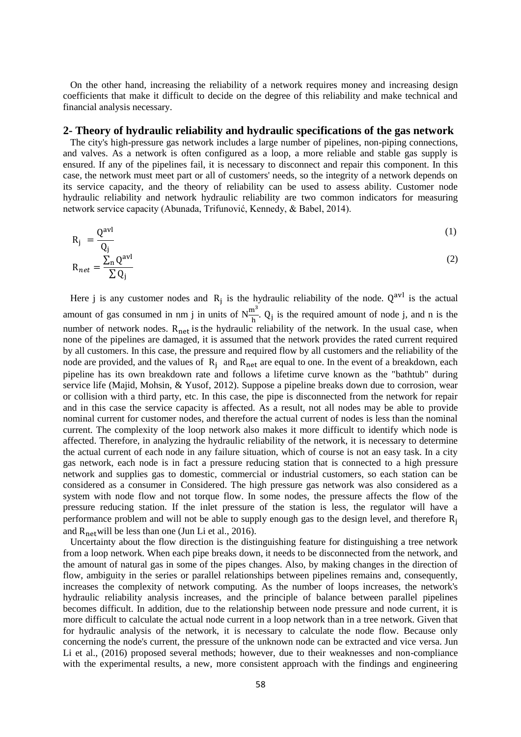On the other hand, increasing the reliability of a network requires money and increasing design coefficients that make it difficult to decide on the degree of this reliability and make technical and financial analysis necessary.

#### **2- Theory of hydraulic reliability and hydraulic specifications of the gas network**

 The city's high-pressure gas network includes a large number of pipelines, non-piping connections, and valves. As a network is often configured as a loop, a more reliable and stable gas supply is ensured. If any of the pipelines fail, it is necessary to disconnect and repair this component. In this case, the network must meet part or all of customers' needs, so the integrity of a network depends on its service capacity, and the theory of reliability can be used to assess ability. Customer node hydraulic reliability and network hydraulic reliability are two common indicators for measuring network service capacity (Abunada, Trifunović, Kennedy, & Babel, 2014).

$$
R_j = \frac{Q^{\text{avl}}}{Q} \tag{1}
$$

$$
R_{net} = \frac{\sum_{n} Q^{avl}}{\sum Q_{j}}
$$
 (2)

Here j is any customer nodes and  $R_j$  is the hydraulic reliability of the node.  $Q^{avl}$  is the actual amount of gas consumed in nm j in units of  $N_{\overline{h}}^{m^3}$ . Q<sub>j</sub> is the required amount of node j, and n is the number of network nodes. R<sub>net</sub> is the hydraulic reliability of the network. In the usual case, when none of the pipelines are damaged, it is assumed that the network provides the rated current required by all customers. In this case, the pressure and required flow by all customers and the reliability of the node are provided, and the values of  $R_i$  and  $R_{net}$  are equal to one. In the event of a breakdown, each pipeline has its own breakdown rate and follows a lifetime curve known as the "bathtub" during service life (Majid, Mohsin, & Yusof, 2012). Suppose a pipeline breaks down due to corrosion, wear or collision with a third party, etc. In this case, the pipe is disconnected from the network for repair and in this case the service capacity is affected. As a result, not all nodes may be able to provide nominal current for customer nodes, and therefore the actual current of nodes is less than the nominal current. The complexity of the loop network also makes it more difficult to identify which node is affected. Therefore, in analyzing the hydraulic reliability of the network, it is necessary to determine the actual current of each node in any failure situation, which of course is not an easy task. In a city gas network, each node is in fact a pressure reducing station that is connected to a high pressure network and supplies gas to domestic, commercial or industrial customers, so each station can be considered as a consumer in Considered. The high pressure gas network was also considered as a system with node flow and not torque flow. In some nodes, the pressure affects the flow of the pressure reducing station. If the inlet pressure of the station is less, the regulator will have a performance problem and will not be able to supply enough gas to the design level, and therefore  $R_i$ and  $R_{net}$  will be less than one (Jun Li et al., 2016).

 Uncertainty about the flow direction is the distinguishing feature for distinguishing a tree network from a loop network. When each pipe breaks down, it needs to be disconnected from the network, and the amount of natural gas in some of the pipes changes. Also, by making changes in the direction of flow, ambiguity in the series or parallel relationships between pipelines remains and, consequently, increases the complexity of network computing. As the number of loops increases, the network's hydraulic reliability analysis increases, and the principle of balance between parallel pipelines becomes difficult. In addition, due to the relationship between node pressure and node current, it is more difficult to calculate the actual node current in a loop network than in a tree network. Given that for hydraulic analysis of the network, it is necessary to calculate the node flow. Because only concerning the node's current, the pressure of the unknown node can be extracted and vice versa. Jun Li et al., (2016) proposed several methods; however, due to their weaknesses and non-compliance with the experimental results, a new, more consistent approach with the findings and engineering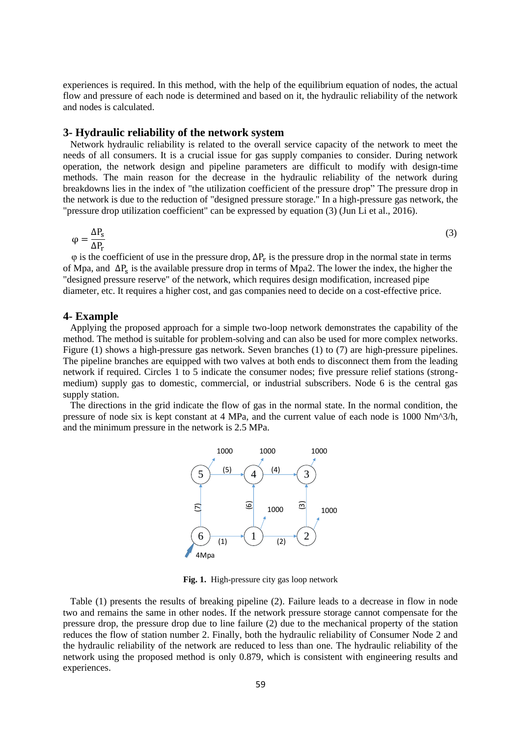experiences is required. In this method, with the help of the equilibrium equation of nodes, the actual flow and pressure of each node is determined and based on it, the hydraulic reliability of the network and nodes is calculated.

#### **3- Hydraulic reliability of the network system**

 Network hydraulic reliability is related to the overall service capacity of the network to meet the needs of all consumers. It is a crucial issue for gas supply companies to consider. During network operation, the network design and pipeline parameters are difficult to modify with design-time methods. The main reason for the decrease in the hydraulic reliability of the network during breakdowns lies in the index of "the utilization coefficient of the pressure drop" The pressure drop in the network is due to the reduction of "designed pressure storage." In a high-pressure gas network, the "pressure drop utilization coefficient" can be expressed by equation (3) (Jun Li et al., 2016).

$$
\varphi = \frac{\Delta P_{\rm s}}{\Delta P_{\rm r}}\tag{3}
$$

 $\varphi$  is the coefficient of use in the pressure drop,  $\Delta P_r$  is the pressure drop in the normal state in terms of Mpa, and  $\Delta P_s$  is the available pressure drop in terms of Mpa2. The lower the index, the higher the "designed pressure reserve" of the network, which requires design modification, increased pipe diameter, etc. It requires a higher cost, and gas companies need to decide on a cost-effective price.

#### **4- Example**

 Applying the proposed approach for a simple two-loop network demonstrates the capability of the method. The method is suitable for problem-solving and can also be used for more complex networks. Figure (1) shows a high-pressure gas network. Seven branches (1) to (7) are high-pressure pipelines. The pipeline branches are equipped with two valves at both ends to disconnect them from the leading network if required. Circles 1 to 5 indicate the consumer nodes; five pressure relief stations (strongmedium) supply gas to domestic, commercial, or industrial subscribers. Node 6 is the central gas supply station.

 The directions in the grid indicate the flow of gas in the normal state. In the normal condition, the pressure of node six is kept constant at 4 MPa, and the current value of each node is 1000 Nm^3/h, and the minimum pressure in the network is 2.5 MPa.



**Fig. 1.** High-pressure city gas loop network

 Table (1) presents the results of breaking pipeline (2). Failure leads to a decrease in flow in node two and remains the same in other nodes. If the network pressure storage cannot compensate for the pressure drop, the pressure drop due to line failure (2) due to the mechanical property of the station reduces the flow of station number 2. Finally, both the hydraulic reliability of Consumer Node 2 and the hydraulic reliability of the network are reduced to less than one. The hydraulic reliability of the network using the proposed method is only 0.879, which is consistent with engineering results and experiences.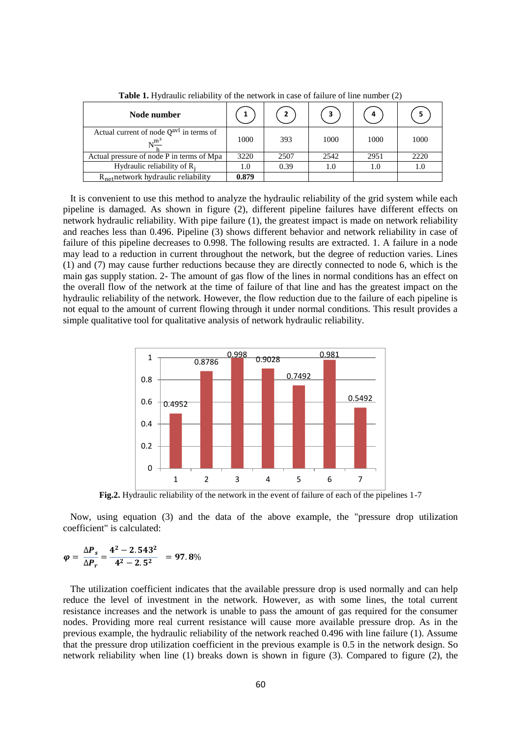| Node number                                                                |       | $\overline{2}$ | 3    |      | 5    |
|----------------------------------------------------------------------------|-------|----------------|------|------|------|
| Actual current of node $Q^{\text{avl}}$ in terms of<br>$N^{\frac{m^3}{2}}$ | 1000  | 393            | 1000 | 1000 | 1000 |
| Actual pressure of node P in terms of Mpa                                  | 3220  | 2507           | 2542 | 2951 | 2220 |
| Hydraulic reliability of $R_i$                                             | 1.0   | 0.39           | 1.0  | 1.0  | 1.0  |
| $R_{\text{net}}$ network hydraulic reliability                             | 0.879 |                |      |      |      |

**Table 1.** Hydraulic reliability of the network in case of failure of line number (2)

 It is convenient to use this method to analyze the hydraulic reliability of the grid system while each pipeline is damaged. As shown in figure (2), different pipeline failures have different effects on network hydraulic reliability. With pipe failure (1), the greatest impact is made on network reliability and reaches less than 0.496. Pipeline (3) shows different behavior and network reliability in case of failure of this pipeline decreases to 0.998. The following results are extracted. 1. A failure in a node may lead to a reduction in current throughout the network, but the degree of reduction varies. Lines (1) and (7) may cause further reductions because they are directly connected to node 6, which is the main gas supply station. 2- The amount of gas flow of the lines in normal conditions has an effect on the overall flow of the network at the time of failure of that line and has the greatest impact on the hydraulic reliability of the network. However, the flow reduction due to the failure of each pipeline is not equal to the amount of current flowing through it under normal conditions. This result provides a simple qualitative tool for qualitative analysis of network hydraulic reliability.



**Fig.2.** Hydraulic reliability of the network in the event of failure of each of the pipelines 1-7

 Now, using equation (3) and the data of the above example, the "pressure drop utilization coefficient" is calculated:

$$
\varphi = \frac{\Delta P_s}{\Delta P_r} = \frac{4^2 - 2.543^2}{4^2 - 2.5^2} = 97.8\%
$$

 The utilization coefficient indicates that the available pressure drop is used normally and can help reduce the level of investment in the network. However, as with some lines, the total current resistance increases and the network is unable to pass the amount of gas required for the consumer nodes. Providing more real current resistance will cause more available pressure drop. As in the previous example, the hydraulic reliability of the network reached 0.496 with line failure (1). Assume that the pressure drop utilization coefficient in the previous example is 0.5 in the network design. So network reliability when line (1) breaks down is shown in figure (3). Compared to figure (2), the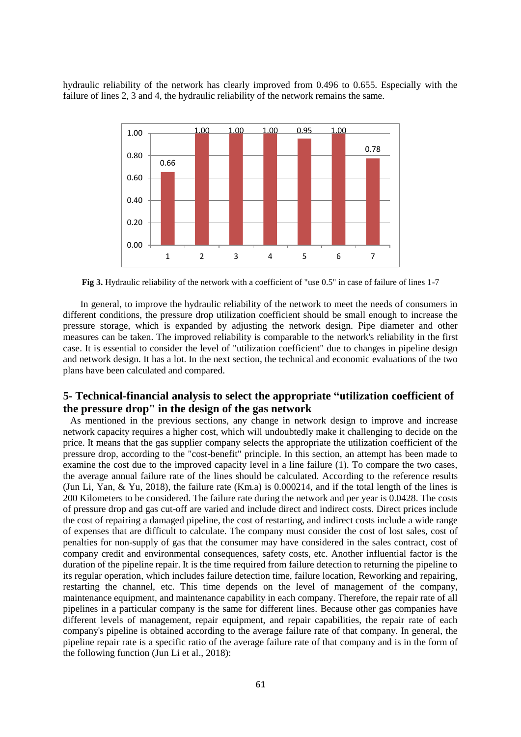hydraulic reliability of the network has clearly improved from 0.496 to 0.655. Especially with the failure of lines 2, 3 and 4, the hydraulic reliability of the network remains the same.



**Fig 3.** Hydraulic reliability of the network with a coefficient of "use 0.5" in case of failure of lines 1-7

In general, to improve the hydraulic reliability of the network to meet the needs of consumers in different conditions, the pressure drop utilization coefficient should be small enough to increase the pressure storage, which is expanded by adjusting the network design. Pipe diameter and other measures can be taken. The improved reliability is comparable to the network's reliability in the first case. It is essential to consider the level of "utilization coefficient" due to changes in pipeline design and network design. It has a lot. In the next section, the technical and economic evaluations of the two plans have been calculated and compared.

# **5- Technical-financial analysis to select the appropriate "utilization coefficient of the pressure drop" in the design of the gas network**

 As mentioned in the previous sections, any change in network design to improve and increase network capacity requires a higher cost, which will undoubtedly make it challenging to decide on the price. It means that the gas supplier company selects the appropriate the utilization coefficient of the pressure drop, according to the "cost-benefit" principle. In this section, an attempt has been made to examine the cost due to the improved capacity level in a line failure (1). To compare the two cases, the average annual failure rate of the lines should be calculated. According to the reference results (Jun Li, Yan, & Yu, 2018), the failure rate (Km.a) is 0.000214, and if the total length of the lines is 200 Kilometers to be considered. The failure rate during the network and per year is 0.0428. The costs of pressure drop and gas cut-off are varied and include direct and indirect costs. Direct prices include the cost of repairing a damaged pipeline, the cost of restarting, and indirect costs include a wide range of expenses that are difficult to calculate. The company must consider the cost of lost sales, cost of penalties for non-supply of gas that the consumer may have considered in the sales contract, cost of company credit and environmental consequences, safety costs, etc. Another influential factor is the duration of the pipeline repair. It is the time required from failure detection to returning the pipeline to its regular operation, which includes failure detection time, failure location, Reworking and repairing, restarting the channel, etc. This time depends on the level of management of the company, maintenance equipment, and maintenance capability in each company. Therefore, the repair rate of all pipelines in a particular company is the same for different lines. Because other gas companies have different levels of management, repair equipment, and repair capabilities, the repair rate of each company's pipeline is obtained according to the average failure rate of that company. In general, the pipeline repair rate is a specific ratio of the average failure rate of that company and is in the form of the following function (Jun Li et al., 2018):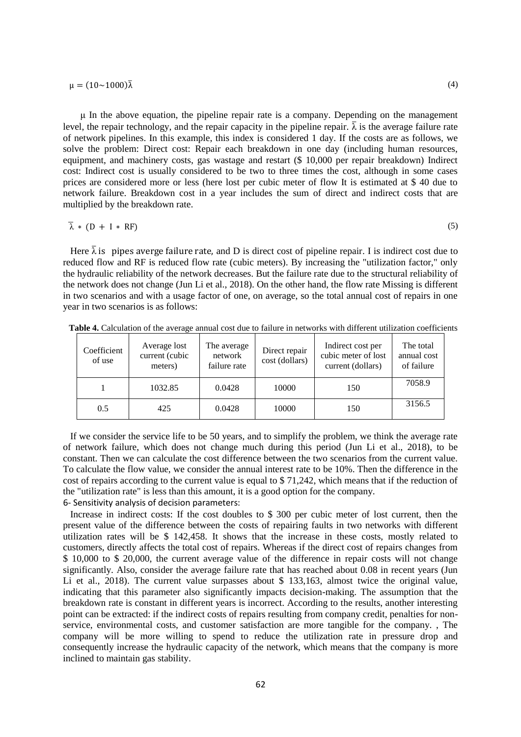$\mu = (10 \sim 1000) \overline{\lambda}$ 

μ In the above equation, the pipeline repair rate is a company. Depending on the management level, the repair technology, and the repair capacity in the pipeline repair.  $\bar{\lambda}$  is the average failure rate of network pipelines. In this example, this index is considered 1 day. If the costs are as follows, we solve the problem: Direct cost: Repair each breakdown in one day (including human resources, equipment, and machinery costs, gas wastage and restart (\$ 10,000 per repair breakdown) Indirect cost: Indirect cost is usually considered to be two to three times the cost, although in some cases prices are considered more or less (here lost per cubic meter of flow It is estimated at \$ 40 due to network failure. Breakdown cost in a year includes the sum of direct and indirect costs that are multiplied by the breakdown rate.

$$
\bar{\lambda} * (D + I * RF) \tag{5}
$$

Here  $\bar{\lambda}$  is pipes averge failure rate, and D is direct cost of pipeline repair. I is indirect cost due to reduced flow and RF is reduced flow rate (cubic meters). By increasing the "utilization factor," only the hydraulic reliability of the network decreases. But the failure rate due to the structural reliability of the network does not change (Jun Li et al., 2018). On the other hand, the flow rate Missing is different in two scenarios and with a usage factor of one, on average, so the total annual cost of repairs in one year in two scenarios is as follows:

| Coefficient<br>of use | Average lost<br>current (cubic<br>meters) | The average<br>network<br>failure rate | Direct repair<br>cost (dollars) | Indirect cost per<br>cubic meter of lost<br>current (dollars) | The total<br>annual cost<br>of failure |
|-----------------------|-------------------------------------------|----------------------------------------|---------------------------------|---------------------------------------------------------------|----------------------------------------|
|                       | 1032.85                                   | 0.0428                                 | 10000                           | 150                                                           | 7058.9                                 |
| 0.5                   | 425                                       | 0.0428                                 | 10000                           | 150                                                           | 3156.5                                 |

**Table 4.** Calculation of the average annual cost due to failure in networks with different utilization coefficients

 If we consider the service life to be 50 years, and to simplify the problem, we think the average rate of network failure, which does not change much during this period (Jun Li et al., 2018), to be constant. Then we can calculate the cost difference between the two scenarios from the current value. To calculate the flow value, we consider the annual interest rate to be 10%. Then the difference in the cost of repairs according to the current value is equal to \$ 71,242, which means that if the reduction of the "utilization rate" is less than this amount, it is a good option for the company. 6- Sensitivity analysis of decision parameters:

 Increase in indirect costs: If the cost doubles to \$ 300 per cubic meter of lost current, then the present value of the difference between the costs of repairing faults in two networks with different utilization rates will be \$ 142,458. It shows that the increase in these costs, mostly related to customers, directly affects the total cost of repairs. Whereas if the direct cost of repairs changes from \$ 10,000 to \$ 20,000, the current average value of the difference in repair costs will not change significantly. Also, consider the average failure rate that has reached about 0.08 in recent years (Jun Li et al., 2018). The current value surpasses about \$ 133,163, almost twice the original value, indicating that this parameter also significantly impacts decision-making. The assumption that the breakdown rate is constant in different years is incorrect. According to the results, another interesting point can be extracted: if the indirect costs of repairs resulting from company credit, penalties for nonservice, environmental costs, and customer satisfaction are more tangible for the company. , The company will be more willing to spend to reduce the utilization rate in pressure drop and consequently increase the hydraulic capacity of the network, which means that the company is more inclined to maintain gas stability.